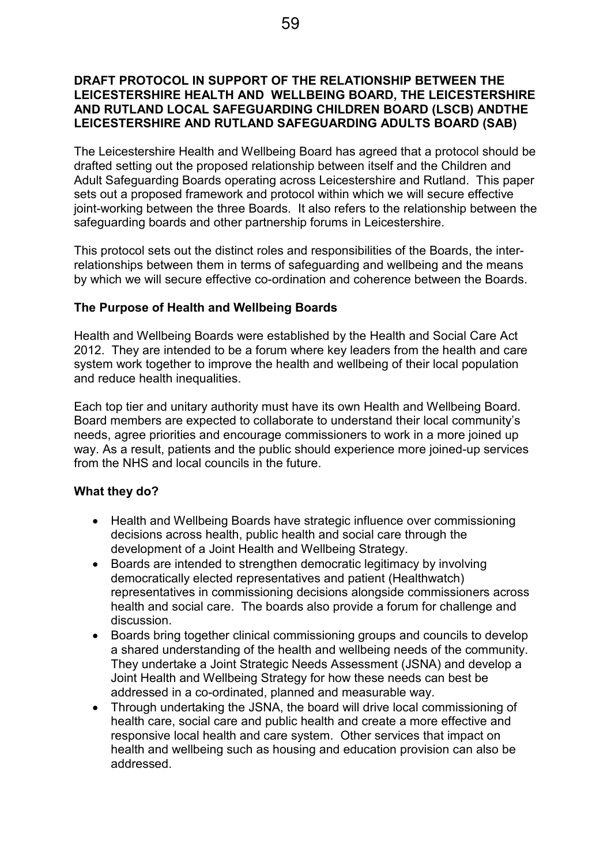#### DRAFT PROTOCOL IN SUPPORT OF THE RELATIONSHIP BETWEEN THE LEICESTERSHIRE HEALTH AND WELLBEING BOARD, THE LEICESTERSHIRE AND RUTLAND LOCAL SAFEGUARDING CHILDREN BOARD (LSCB) ANDTHE LEICESTERSHIRE AND RUTLAND SAFEGUARDING ADULTS BOARD (SAB)

The Leicestershire Health and Wellbeing Board has agreed that a protocol should be drafted setting out the proposed relationship between itself and the Children and Adult Safeguarding Boards operating across Leicestershire and Rutland. This paper sets out a proposed framework and protocol within which we will secure effective joint-working between the three Boards. It also refers to the relationship between the safeguarding boards and other partnership forums in Leicestershire.

This protocol sets out the distinct roles and responsibilities of the Boards, the interrelationships between them in terms of safeguarding and wellbeing and the means by which we will secure effective co-ordination and coherence between the Boards.

### The Purpose of Health and Wellbeing Boards

Health and Wellbeing Boards were established by the Health and Social Care Act 2012. They are intended to be a forum where key leaders from the health and care system work together to improve the health and wellbeing of their local population and reduce health inequalities.

Each top tier and unitary authority must have its own Health and Wellbeing Board. Board members are expected to collaborate to understand their local community's needs, agree priorities and encourage commissioners to work in a more joined up way. As a result, patients and the public should experience more joined-up services from the NHS and local councils in the future.

### What they do?

- Health and Wellbeing Boards have strategic influence over commissioning decisions across health, public health and social care through the development of a Joint Health and Wellbeing Strategy.
- Boards are intended to strengthen democratic legitimacy by involving democratically elected representatives and patient (Healthwatch) representatives in commissioning decisions alongside commissioners across health and social care. The boards also provide a forum for challenge and discussion.
- Boards bring together clinical commissioning groups and councils to develop a shared understanding of the health and wellbeing needs of the community. They undertake a Joint Strategic Needs Assessment (JSNA) and develop a Joint Health and Wellbeing Strategy for how these needs can best be addressed in a co-ordinated, planned and measurable way.
- Through undertaking the JSNA, the board will drive local commissioning of health care, social care and public health and create a more effective and responsive local health and care system. Other services that impact on health and wellbeing such as housing and education provision can also be addressed.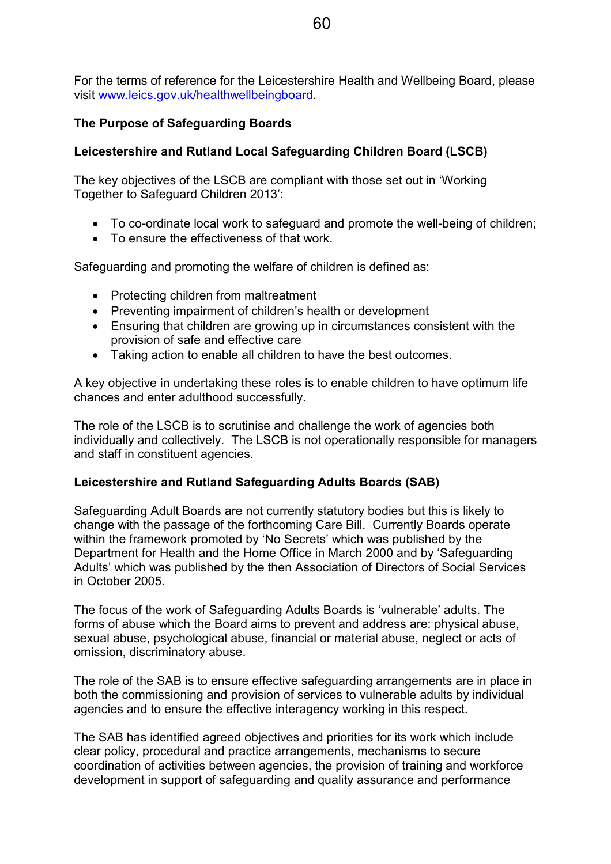For the terms of reference for the Leicestershire Health and Wellbeing Board, please visit www.leics.gov.uk/healthwellbeingboard.

# The Purpose of Safeguarding Boards

# Leicestershire and Rutland Local Safeguarding Children Board (LSCB)

The key objectives of the LSCB are compliant with those set out in 'Working Together to Safeguard Children 2013':

- To co-ordinate local work to safeguard and promote the well-being of children;
- To ensure the effectiveness of that work.

Safeguarding and promoting the welfare of children is defined as:

- Protecting children from maltreatment
- Preventing impairment of children's health or development
- Ensuring that children are growing up in circumstances consistent with the provision of safe and effective care
- Taking action to enable all children to have the best outcomes.

A key objective in undertaking these roles is to enable children to have optimum life chances and enter adulthood successfully.

The role of the LSCB is to scrutinise and challenge the work of agencies both individually and collectively. The LSCB is not operationally responsible for managers and staff in constituent agencies.

### Leicestershire and Rutland Safeguarding Adults Boards (SAB)

Safeguarding Adult Boards are not currently statutory bodies but this is likely to change with the passage of the forthcoming Care Bill. Currently Boards operate within the framework promoted by 'No Secrets' which was published by the Department for Health and the Home Office in March 2000 and by 'Safeguarding Adults' which was published by the then Association of Directors of Social Services in October 2005.

The focus of the work of Safeguarding Adults Boards is 'vulnerable' adults. The forms of abuse which the Board aims to prevent and address are: physical abuse, sexual abuse, psychological abuse, financial or material abuse, neglect or acts of omission, discriminatory abuse.

The role of the SAB is to ensure effective safeguarding arrangements are in place in both the commissioning and provision of services to vulnerable adults by individual agencies and to ensure the effective interagency working in this respect.

The SAB has identified agreed objectives and priorities for its work which include clear policy, procedural and practice arrangements, mechanisms to secure coordination of activities between agencies, the provision of training and workforce development in support of safeguarding and quality assurance and performance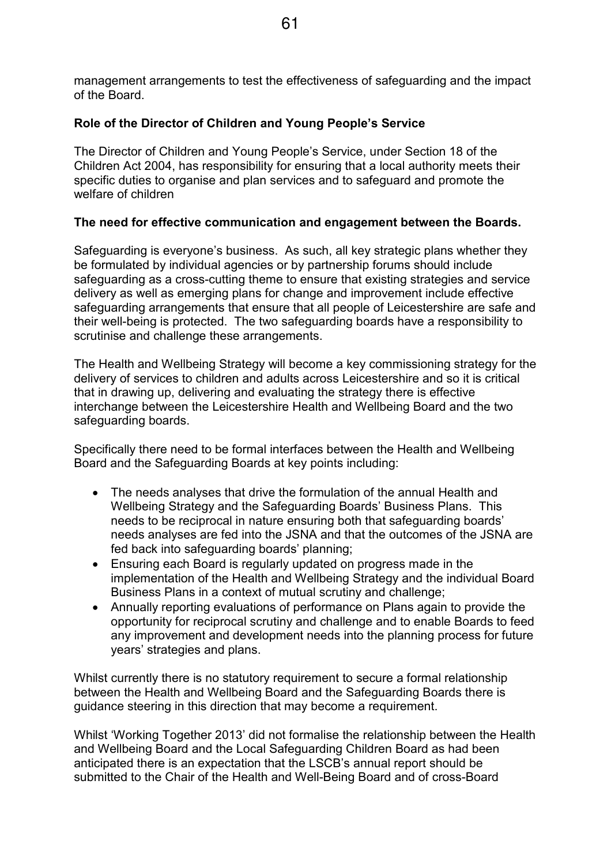management arrangements to test the effectiveness of safeguarding and the impact of the Board.

## Role of the Director of Children and Young People's Service

The Director of Children and Young People's Service, under Section 18 of the Children Act 2004, has responsibility for ensuring that a local authority meets their specific duties to organise and plan services and to safeguard and promote the welfare of children

## The need for effective communication and engagement between the Boards.

Safeguarding is everyone's business. As such, all key strategic plans whether they be formulated by individual agencies or by partnership forums should include safeguarding as a cross-cutting theme to ensure that existing strategies and service delivery as well as emerging plans for change and improvement include effective safeguarding arrangements that ensure that all people of Leicestershire are safe and their well-being is protected. The two safeguarding boards have a responsibility to scrutinise and challenge these arrangements.

The Health and Wellbeing Strategy will become a key commissioning strategy for the delivery of services to children and adults across Leicestershire and so it is critical that in drawing up, delivering and evaluating the strategy there is effective interchange between the Leicestershire Health and Wellbeing Board and the two safeguarding boards.

Specifically there need to be formal interfaces between the Health and Wellbeing Board and the Safeguarding Boards at key points including:

- The needs analyses that drive the formulation of the annual Health and Wellbeing Strategy and the Safeguarding Boards' Business Plans. This needs to be reciprocal in nature ensuring both that safeguarding boards' needs analyses are fed into the JSNA and that the outcomes of the JSNA are fed back into safeguarding boards' planning;
- Ensuring each Board is regularly updated on progress made in the implementation of the Health and Wellbeing Strategy and the individual Board Business Plans in a context of mutual scrutiny and challenge;
- Annually reporting evaluations of performance on Plans again to provide the opportunity for reciprocal scrutiny and challenge and to enable Boards to feed any improvement and development needs into the planning process for future years' strategies and plans.

Whilst currently there is no statutory requirement to secure a formal relationship between the Health and Wellbeing Board and the Safeguarding Boards there is guidance steering in this direction that may become a requirement.

Whilst 'Working Together 2013' did not formalise the relationship between the Health and Wellbeing Board and the Local Safeguarding Children Board as had been anticipated there is an expectation that the LSCB's annual report should be submitted to the Chair of the Health and Well-Being Board and of cross-Board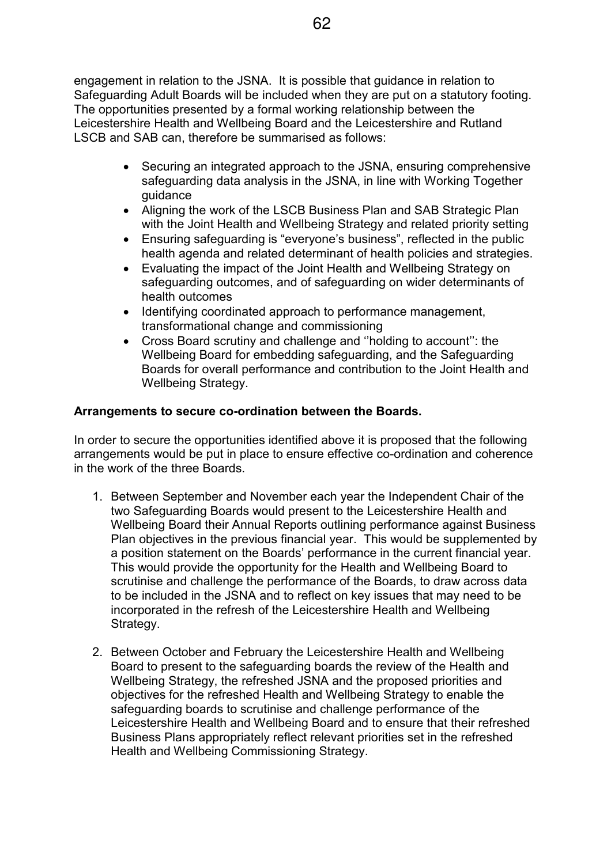engagement in relation to the JSNA. It is possible that guidance in relation to Safeguarding Adult Boards will be included when they are put on a statutory footing. The opportunities presented by a formal working relationship between the Leicestershire Health and Wellbeing Board and the Leicestershire and Rutland LSCB and SAB can, therefore be summarised as follows:

- Securing an integrated approach to the JSNA, ensuring comprehensive safeguarding data analysis in the JSNA, in line with Working Together guidance
- Aligning the work of the LSCB Business Plan and SAB Strategic Plan with the Joint Health and Wellbeing Strategy and related priority setting
- Ensuring safeguarding is "everyone's business", reflected in the public health agenda and related determinant of health policies and strategies.
- Evaluating the impact of the Joint Health and Wellbeing Strategy on safeguarding outcomes, and of safeguarding on wider determinants of health outcomes
- Identifying coordinated approach to performance management, transformational change and commissioning
- Cross Board scrutiny and challenge and ''holding to account'': the Wellbeing Board for embedding safeguarding, and the Safeguarding Boards for overall performance and contribution to the Joint Health and Wellbeing Strategy.

# Arrangements to secure co-ordination between the Boards.

In order to secure the opportunities identified above it is proposed that the following arrangements would be put in place to ensure effective co-ordination and coherence in the work of the three Boards.

- 1. Between September and November each year the Independent Chair of the two Safeguarding Boards would present to the Leicestershire Health and Wellbeing Board their Annual Reports outlining performance against Business Plan objectives in the previous financial year. This would be supplemented by a position statement on the Boards' performance in the current financial year. This would provide the opportunity for the Health and Wellbeing Board to scrutinise and challenge the performance of the Boards, to draw across data to be included in the JSNA and to reflect on key issues that may need to be incorporated in the refresh of the Leicestershire Health and Wellbeing Strategy.
- 2. Between October and February the Leicestershire Health and Wellbeing Board to present to the safeguarding boards the review of the Health and Wellbeing Strategy, the refreshed JSNA and the proposed priorities and objectives for the refreshed Health and Wellbeing Strategy to enable the safeguarding boards to scrutinise and challenge performance of the Leicestershire Health and Wellbeing Board and to ensure that their refreshed Business Plans appropriately reflect relevant priorities set in the refreshed Health and Wellbeing Commissioning Strategy.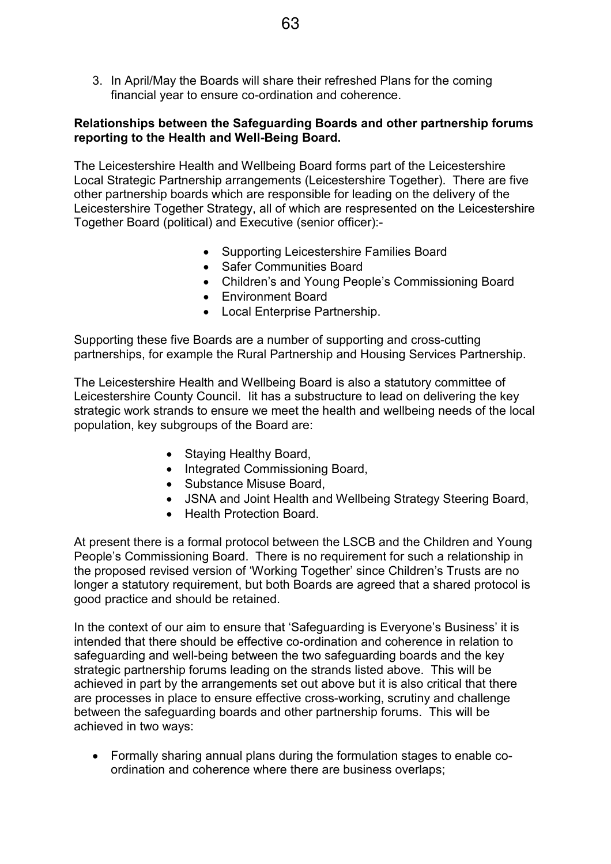3. In April/May the Boards will share their refreshed Plans for the coming financial year to ensure co-ordination and coherence.

## Relationships between the Safeguarding Boards and other partnership forums reporting to the Health and Well-Being Board.

The Leicestershire Health and Wellbeing Board forms part of the Leicestershire Local Strategic Partnership arrangements (Leicestershire Together). There are five other partnership boards which are responsible for leading on the delivery of the Leicestershire Together Strategy, all of which are respresented on the Leicestershire Together Board (political) and Executive (senior officer):-

- Supporting Leicestershire Families Board
- Safer Communities Board
- Children's and Young People's Commissioning Board
- Environment Board
- Local Enterprise Partnership.

Supporting these five Boards are a number of supporting and cross-cutting partnerships, for example the Rural Partnership and Housing Services Partnership.

The Leicestershire Health and Wellbeing Board is also a statutory committee of Leicestershire County Council. Iit has a substructure to lead on delivering the key strategic work strands to ensure we meet the health and wellbeing needs of the local population, key subgroups of the Board are:

- Staying Healthy Board,
- Integrated Commissioning Board,
- Substance Misuse Board,
- JSNA and Joint Health and Wellbeing Strategy Steering Board,
- Health Protection Board.

At present there is a formal protocol between the LSCB and the Children and Young People's Commissioning Board. There is no requirement for such a relationship in the proposed revised version of 'Working Together' since Children's Trusts are no longer a statutory requirement, but both Boards are agreed that a shared protocol is good practice and should be retained.

In the context of our aim to ensure that 'Safeguarding is Everyone's Business' it is intended that there should be effective co-ordination and coherence in relation to safeguarding and well-being between the two safeguarding boards and the key strategic partnership forums leading on the strands listed above. This will be achieved in part by the arrangements set out above but it is also critical that there are processes in place to ensure effective cross-working, scrutiny and challenge between the safeguarding boards and other partnership forums. This will be achieved in two ways:

• Formally sharing annual plans during the formulation stages to enable coordination and coherence where there are business overlaps;